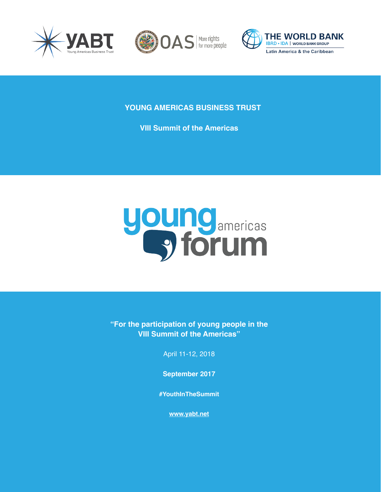





**YOUNG AMERICAS BUSINESS TRUST**

**VIII Summit of the Americas**



**"For the participation of young people in the VIII Summit of the Americas"**

April 11-12, 2018

**September 2017**

**#YouthInTheSummit**

**[www.yabt.net](http://www.yabt.net)**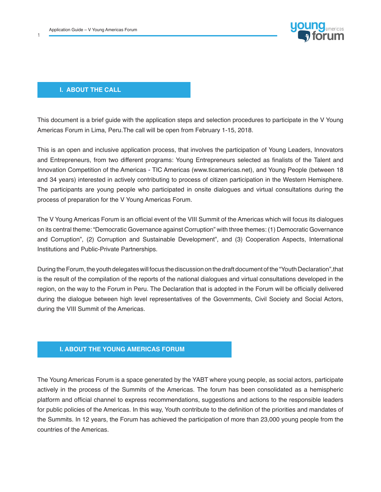1



### **I. ABOUT THE CALL**

This document is a brief guide with the application steps and selection procedures to participate in the V Young Americas Forum in Lima, Peru.The call will be open from February 1-15, 2018.

This is an open and inclusive application process, that involves the participation of Young Leaders, Innovators and Entrepreneurs, from two different programs: Young Entrepreneurs selected as finalists of the Talent and Innovation Competition of the Americas - TIC Americas (www.ticamericas.net), and Young People (between 18 and 34 years) interested in actively contributing to process of citizen participation in the Western Hemisphere. The participants are young people who participated in onsite dialogues and virtual consultations during the process of preparation for the V Young Americas Forum.

The V Young Americas Forum is an official event of the VIII Summit of the Americas which will focus its dialogues on its central theme: "Democratic Governance against Corruption" with three themes: (1) Democratic Governance and Corruption", (2) Corruption and Sustainable Development", and (3) Cooperation Aspects, International Institutions and Public-Private Partnerships.

During the Forum, the youth delegates will focus the discussion on the draft document of the "Youth Declaration",that is the result of the compilation of the reports of the national dialogues and virtual consultations developed in the region, on the way to the Forum in Peru. The Declaration that is adopted in the Forum will be officially delivered during the dialogue between high level representatives of the Governments, Civil Society and Social Actors, during the VIII Summit of the Americas.

# **I. ABOUT THE YOUNG AMERICAS FORUM**

The Young Americas Forum is a space generated by the YABT where young people, as social actors, participate actively in the process of the Summits of the Americas. The forum has been consolidated as a hemispheric platform and official channel to express recommendations, suggestions and actions to the responsible leaders for public policies of the Americas. In this way, Youth contribute to the definition of the priorities and mandates of the Summits. In 12 years, the Forum has achieved the participation of more than 23,000 young people from the countries of the Americas.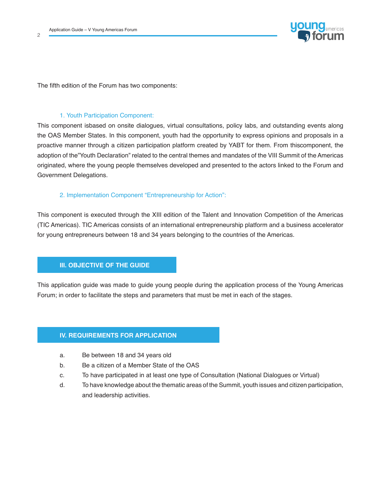$\overline{2}$ 



The fifth edition of the Forum has two components:

## 1. Youth Participation Component:

This component isbased on onsite dialogues, virtual consultations, policy labs, and outstanding events along the OAS Member States. In this component, youth had the opportunity to express opinions and proposals in a proactive manner through a citizen participation platform created by YABT for them. From thiscomponent, the adoption of the"Youth Declaration" related to the central themes and mandates of the VIII Summit of the Americas originated, where the young people themselves developed and presented to the actors linked to the Forum and Government Delegations.

## 2. Implementation Component "Entrepreneurship for Action":

This component is executed through the XIII edition of the Talent and Innovation Competition of the Americas (TIC Americas). TIC Americas consists of an international entrepreneurship platform and a business accelerator for young entrepreneurs between 18 and 34 years belonging to the countries of the Americas.

# **III. OBJECTIVE OF THE GUIDE**

This application guide was made to guide young people during the application process of the Young Americas Forum; in order to facilitate the steps and parameters that must be met in each of the stages.

# **IV. REQUIREMENTS FOR APPLICATION**

- a. Be between 18 and 34 years old
- b. Be a citizen of a Member State of the OAS
- c. To have participated in at least one type of Consultation (National Dialogues or Virtual)
- d. To have knowledge about the thematic areas of the Summit, youth issues and citizen participation, and leadership activities.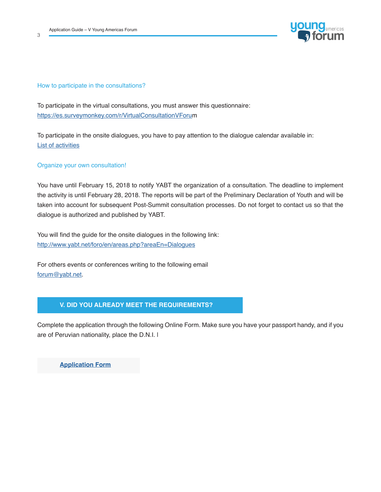3



## How to participate in the consultations?

To participate in the virtual consultations, you must answer this questionnaire: [https://es.surveymonkey.com/r/VirtualConsultationVForum](https://es.surveymonkey.com/r/VirtualConsultationVForu)

To participate in the onsite dialogues, you have to pay attention to the dialogue calendar available in: [List of activities](http://List of activities)

#### Organize your own consultation!

You have until February 15, 2018 to notify YABT the organization of a consultation. The deadline to implement the activity is until February 28, 2018. The reports will be part of the Preliminary Declaration of Youth and will be taken into account for subsequent Post-Summit consultation processes. Do not forget to contact us so that the dialogue is authorized and published by YABT.

You will find the guide for the onsite dialogues in the following link: <http://www.yabt.net/foro/en/areas.php?areaEn=Dialogues>

For others events or conferences writing to the following email [forum@yabt.net](mailto:forum%40yabt.net?subject=).

# **V. DID YOU ALREADY MEET THE REQUIREMENTS?**

Complete the application through the following Online Form. Make sure you have your passport handy, and if you are of Peruvian nationality, place the D.N.I. |

**[Application Form](https://docs.google.com/forms/d/1CPCunD5HkTt5GKFTdjguIcw0YnSIlfSESxC72BZl_yw/edit)**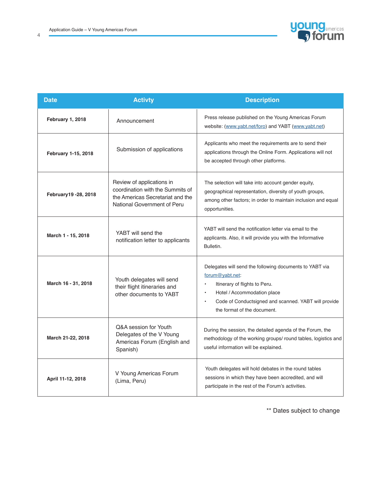4



| <b>Date</b>          | <b>Activty</b>                                                                                                                   | <b>Description</b>                                                                                                                                                                                                                                  |
|----------------------|----------------------------------------------------------------------------------------------------------------------------------|-----------------------------------------------------------------------------------------------------------------------------------------------------------------------------------------------------------------------------------------------------|
| February 1, 2018     | Announcement                                                                                                                     | Press release published on the Young Americas Forum<br>website: (www.yabt.net/foro) and YABT (www.yabt.net)                                                                                                                                         |
| February 1-15, 2018  | Submission of applications                                                                                                       | Applicants who meet the requirements are to send their<br>applications through the Online Form. Applications will not<br>be accepted through other platforms.                                                                                       |
| February19 -28, 2018 | Review of applications in<br>coordination with the Summits of<br>the Americas Secretariat and the<br>National Government of Peru | The selection will take into account gender equity,<br>geographical representation, diversity of youth groups,<br>among other factors; in order to maintain inclusion and equal<br>opportunities.                                                   |
| March 1 - 15, 2018   | YABT will send the<br>notification letter to applicants                                                                          | YABT will send the notification letter via email to the<br>applicants. Also, it will provide you with the Informative<br>Bulletin.                                                                                                                  |
| March 16 - 31, 2018  | Youth delegates will send<br>their flight itineraries and<br>other documents to YABT                                             | Delegates will send the following documents to YABT via<br>forum@yabt.net:<br>Itinerary of flights to Peru.<br>٠<br>Hotel / Accommodation place<br>$\bullet$<br>Code of Conductsigned and scanned. YABT will provide<br>the format of the document. |
| March 21-22, 2018    | Q&A session for Youth<br>Delegates of the V Young<br>Americas Forum (English and<br>Spanish)                                     | During the session, the detailed agenda of the Forum, the<br>methodology of the working groups/ round tables, logistics and<br>useful information will be explained.                                                                                |
| April 11-12, 2018    | V Young Americas Forum<br>(Lima, Peru)                                                                                           | Youth delegates will hold debates in the round tables<br>sessions in which they have been accredited, and will<br>participate in the rest of the Forum's activities.                                                                                |

\*\* Dates subject to change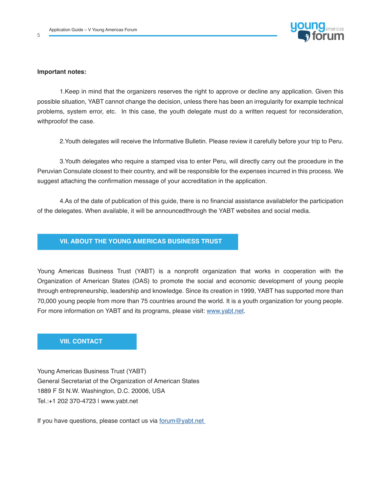

#### **Important notes:**

5

1.Keep in mind that the organizers reserves the right to approve or decline any application. Given this possible situation, YABT cannot change the decision, unless there has been an irregularity for example technical problems, system error, etc. In this case, the youth delegate must do a written request for reconsideration, withproofof the case.

2.Youth delegates will receive the Informative Bulletin. Please review it carefully before your trip to Peru.

3.Youth delegates who require a stamped visa to enter Peru, will directly carry out the procedure in the Peruvian Consulate closest to their country, and will be responsible for the expenses incurred in this process. We suggest attaching the confirmation message of your accreditation in the application.

4.As of the date of publication of this guide, there is no financial assistance availablefor the participation of the delegates. When available, it will be announcedthrough the YABT websites and social media.

### **VII. ABOUT THE YOUNG AMERICAS BUSINESS TRUST**

Young Americas Business Trust (YABT) is a nonprofit organization that works in cooperation with the Organization of American States (OAS) to promote the social and economic development of young people through entrepreneurship, leadership and knowledge. Since its creation in 1999, YABT has supported more than 70,000 young people from more than 75 countries around the world. It is a youth organization for young people. For more information on YABT and its programs, please visit: [www.yabt.net.](http://www.yabt.net)

# **VIII. CONTACT**

Young Americas Business Trust (YABT) General Secretariat of the Organization of American States 1889 F St N.W. Washington, D.C. 20006, USA Tel.:+1 202 370-4723 | www.yabt.net

If you have questions, please contact us via [forum@yabt.net](mailto:forum%40yabt.net%20%20?subject=)